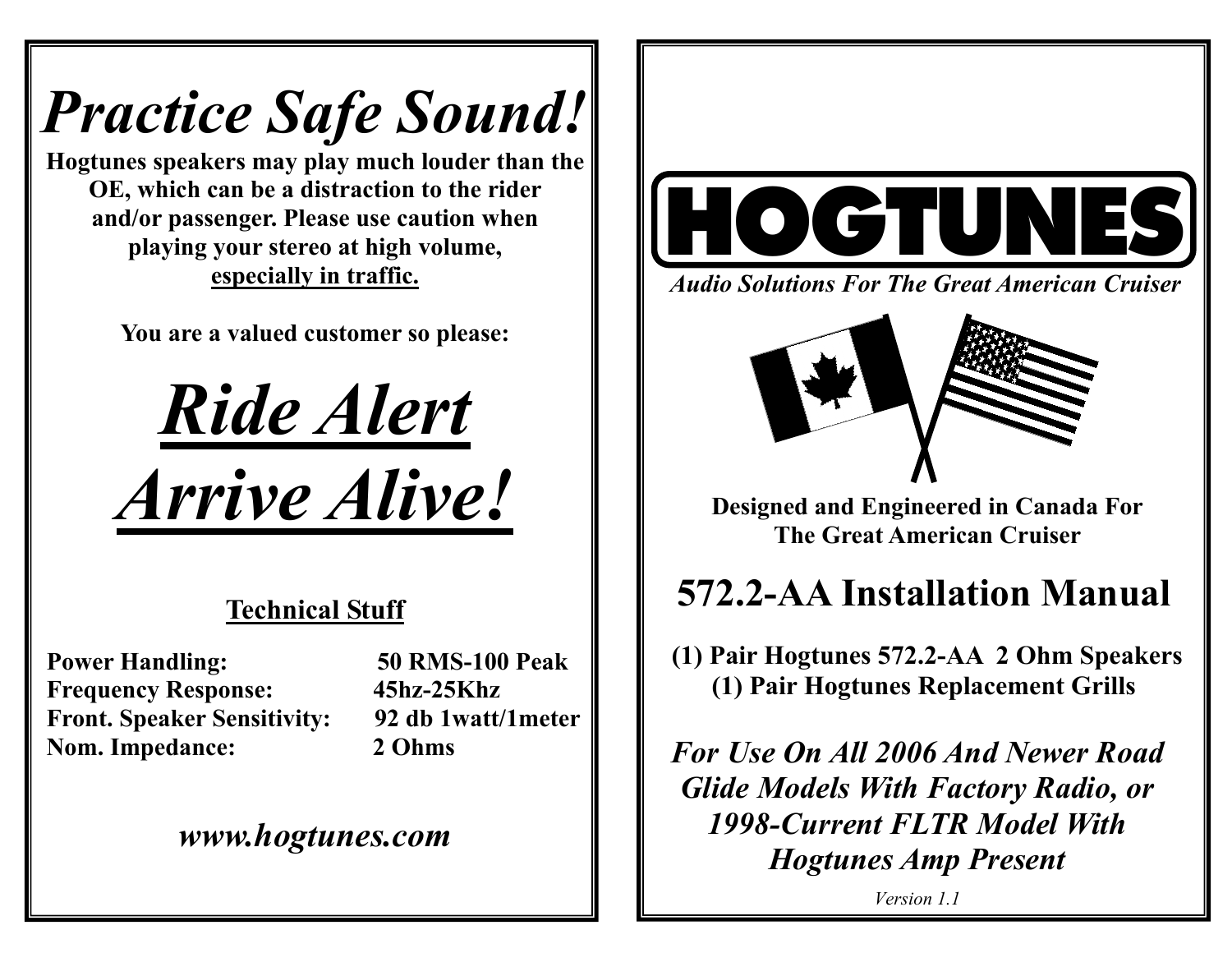# *Practice Safe Sound!*

**Hogtunes speakers may play much louder than the OE, which can be a distraction to the rider and/or passenger. Please use caution when playing your stereo at high volume, especially in traffic.** 

**You are a valued customer so please:** 



### **Technical Stuff**

**Power Handling: 50 RMS-100 Peak Frequency Response: 45hz-25Khz Front. Speaker Sensitivity: 92 db 1watt/1meter Nom. Impedance: 2 Ohms** 

### *www.hogtunes.com*



*Audio Solutions For The Great American Cruiser* 



**Designed and Engineered in Canada For The Great American Cruiser** 

## **572.2-AA Installation Manual**

 **(1) Pair Hogtunes 572.2-AA 2 Ohm Speakers (1) Pair Hogtunes Replacement Grills** 

*For Use On All 2006 And Newer Road Glide Models With Factory Radio, or 1998-Current FLTR Model With Hogtunes Amp Present* 

*Version 1.1*